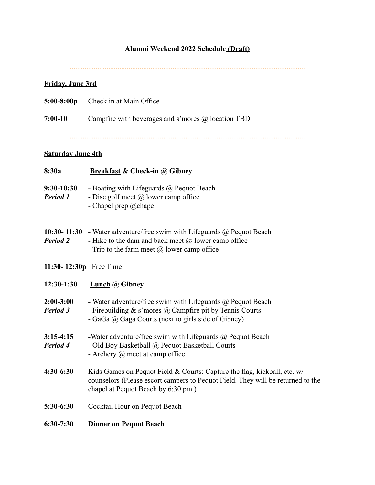# **Alumni Weekend 2022 Schedule (Draft)**

................................................................................................................................

# **Friday, June 3rd**

| $5:00-8:00p$ | Check in at Main Office |
|--------------|-------------------------|
|              |                         |

**7:00-10** Campfire with beverages and s'mores @ location TBD

# **Saturday June 4th**

| 8:30a                              | <b>Breakfast &amp; Check-in @ Gibney</b>                                                                                                                                                             |
|------------------------------------|------------------------------------------------------------------------------------------------------------------------------------------------------------------------------------------------------|
| 9:30-10:30<br><b>Period 1</b>      | - Boating with Lifeguards @ Pequot Beach<br>- Disc golf meet $\omega$ lower camp office<br>- Chapel prep $@$ chapel                                                                                  |
| $10:30 - 11:30$<br><b>Period 2</b> | - Water adventure/free swim with Lifeguards $\omega$ Pequot Beach<br>- Hike to the dam and back meet $(a)$ lower camp office<br>- Trip to the farm meet $(a)$ lower camp office                      |
| 11:30-12:30p Free Time             |                                                                                                                                                                                                      |
| 12:30-1:30                         | <b>Lunch</b> @ Gibney                                                                                                                                                                                |
| $2:00-3:00$<br>Period 3            | - Water adventure/free swim with Lifeguards $\omega$ Pequot Beach<br>- Firebuilding $\&$ s'mores $@$ Campfire pit by Tennis Courts<br>- GaGa @ Gaga Courts (next to girls side of Gibney)            |
| $3:15-4:15$<br>Period 4            | -Water adventure/free swim with Lifeguards $(a)$ Pequot Beach<br>- Old Boy Basketball @ Pequot Basketball Courts<br>- Archery $(a)$ meet at camp office                                              |
| $4:30-6:30$                        | Kids Games on Pequot Field & Courts: Capture the flag, kickball, etc. $w/$<br>counselors (Please escort campers to Pequot Field. They will be returned to the<br>chapel at Pequot Beach by 6:30 pm.) |
| 5:30-6:30                          | Cocktail Hour on Pequot Beach                                                                                                                                                                        |
| $6:30-7:30$                        | <b>Dinner on Pequot Beach</b>                                                                                                                                                                        |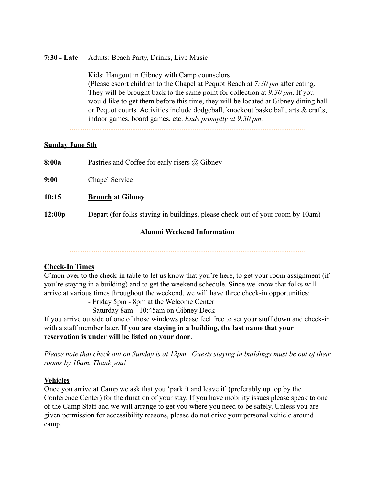## **7:30 - Late** Adults: Beach Party, Drinks, Live Music

Kids: Hangout in Gibney with Camp counselors (Please escort children to the Chapel at Pequot Beach at *7:30 pm* after eating. They will be brought back to the same point for collection at *9:30 pm*. If you would like to get them before this time, they will be located at Gibney dining hall or Pequot courts. Activities include dodgeball, knockout basketball, arts & crafts, indoor games, board games, etc. *Ends promptly at 9:30 pm.*

#### **Sunday June 5th**

**8:00a** Pastries and Coffee for early risers @ Gibney

**9:00** Chapel Service

## **10:15 Brunch at Gibney**

**12:00p** Depart (for folks staying in buildings, please check-out of your room by 10am)

### **Alumni Weekend Information**

### **Check-In Times**

C'mon over to the check-in table to let us know that you're here, to get your room assignment (if you're staying in a building) and to get the weekend schedule. Since we know that folks will arrive at various times throughout the weekend, we will have three check-in opportunities:

- Friday 5pm - 8pm at the Welcome Center

- Saturday 8am - 10:45am on Gibney Deck

If you arrive outside of one of those windows please feel free to set your stuff down and check-in with a staff member later. **If you are staying in a building, the last name that your reservation is under will be listed on your door**.

*Please note that check out on Sunday is at 12pm. Guests staying in buildings must be out of their rooms by 10am. Thank you!*

### **Vehicles**

Once you arrive at Camp we ask that you 'park it and leave it' (preferably up top by the Conference Center) for the duration of your stay. If you have mobility issues please speak to one of the Camp Staff and we will arrange to get you where you need to be safely. Unless you are given permission for accessibility reasons, please do not drive your personal vehicle around camp.